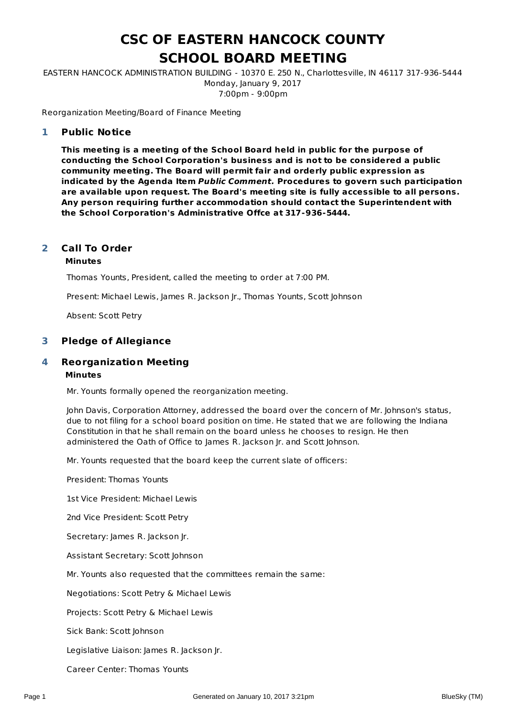# **CSC OF EASTERN HANCOCK COUNTY SCHOOL BOARD MEETING**

EASTERN HANCOCK ADMINISTRATION BUILDING - 10370 E. 250 N., Charlottesville, IN 46117 317-936-5444 Monday, January 9, 2017 7:00pm - 9:00pm

Reorganization Meeting/Board of Finance Meeting

### **Public Notice 1**

**This meeting is a meeting of the School Board held in public for the purpose of conducting the School Corporation's business and is not to be considered a public community meeting. The Board will permit fair and orderly public expression as indicated by the Agenda Item Public Comment. Procedures to govern such participation are available upon request. The Board's meeting site is fully accessible to all persons. Any person requiring further accommodation should contact the Superintendent with the School Corporation's Administrative Offce at 317-936-5444.**

### **Call To Order 2**

### **Minutes**

Thomas Younts, President, called the meeting to order at 7:00 PM.

Present: Michael Lewis, James R. Jackson Jr., Thomas Younts, Scott Johnson

Absent: Scott Petry

### **3 Pledge of Allegiance**

### **Reorganization Meeting Minutes 4**

Mr. Younts formally opened the reorganization meeting.

John Davis, Corporation Attorney, addressed the board over the concern of Mr. Johnson's status, due to not filing for a school board position on time. He stated that we are following the Indiana Constitution in that he shall remain on the board unless he chooses to resign. He then administered the Oath of Office to James R. Jackson Jr. and Scott Johnson.

Mr. Younts requested that the board keep the current slate of officers:

President: Thomas Younts

1st Vice President: Michael Lewis

2nd Vice President: Scott Petry

Secretary: James R. Jackson Jr.

Assistant Secretary: Scott Johnson

Mr. Younts also requested that the committees remain the same:

Negotiations: Scott Petry & Michael Lewis

Projects: Scott Petry & Michael Lewis

Sick Bank: Scott Johnson

Legislative Liaison: James R. Jackson Jr.

Career Center: Thomas Younts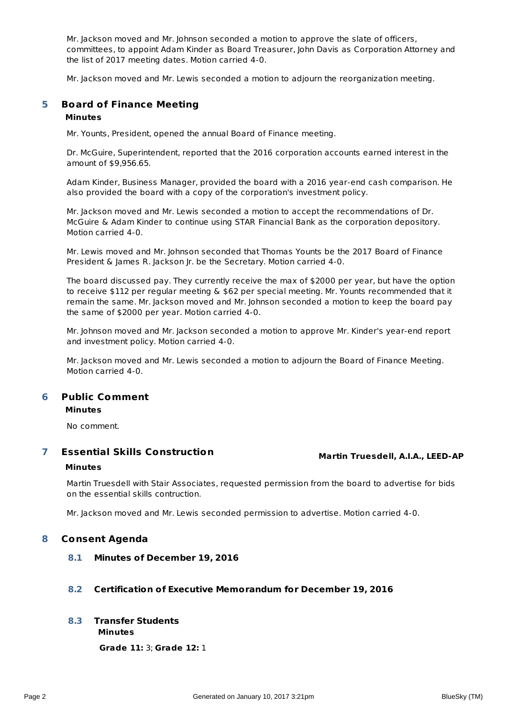Mr. Jackson moved and Mr. Johnson seconded a motion to approve the slate of officers, committees, to appoint Adam Kinder as Board Treasurer, John Davis as Corporation Attorney and the list of 2017 meeting dates. Motion carried 4-0.

Mr. Jackson moved and Mr. Lewis seconded a motion to adjourn the reorganization meeting.

### **Board of Finance Meeting 5**

## **Minutes**

Mr. Younts, President, opened the annual Board of Finance meeting.

Dr. McGuire, Superintendent, reported that the 2016 corporation accounts earned interest in the amount of \$9,956.65.

Adam Kinder, Business Manager, provided the board with a 2016 year-end cash comparison. He also provided the board with a copy of the corporation's investment policy.

Mr. Jackson moved and Mr. Lewis seconded a motion to accept the recommendations of Dr. McGuire & Adam Kinder to continue using STAR Financial Bank as the corporation depository. Motion carried 4-0.

Mr. Lewis moved and Mr. Johnson seconded that Thomas Younts be the 2017 Board of Finance President & James R. Jackson Jr. be the Secretary. Motion carried 4-0.

The board discussed pay. They currently receive the max of \$2000 per year, but have the option to receive \$112 per regular meeting & \$62 per special meeting. Mr. Younts recommended that it remain the same. Mr. Jackson moved and Mr. Johnson seconded a motion to keep the board pay the same of \$2000 per year. Motion carried 4-0.

Mr. Johnson moved and Mr. Jackson seconded a motion to approve Mr. Kinder's year-end report and investment policy. Motion carried 4-0.

Mr. Jackson moved and Mr. Lewis seconded a motion to adjourn the Board of Finance Meeting. Motion carried 4-0.

### **Public Comment Minutes 6**

No comment.

### **Martin Truesdell, A.I.A., LEED-AP Essential Skills Construction 7**

## **Minutes**

Martin Truesdell with Stair Associates, requested permission from the board to advertise for bids on the essential skills contruction.

Mr. Jackson moved and Mr. Lewis seconded permission to advertise. Motion carried 4-0.

## **8 Consent Agenda**

**8.1 Minutes of December 19, 2016**

## **8.2 Certification of Executive Memorandum for December 19, 2016**

### **Minutes 8.3 Transfer Students**

**Grade 11:** 3; **Grade 12:** 1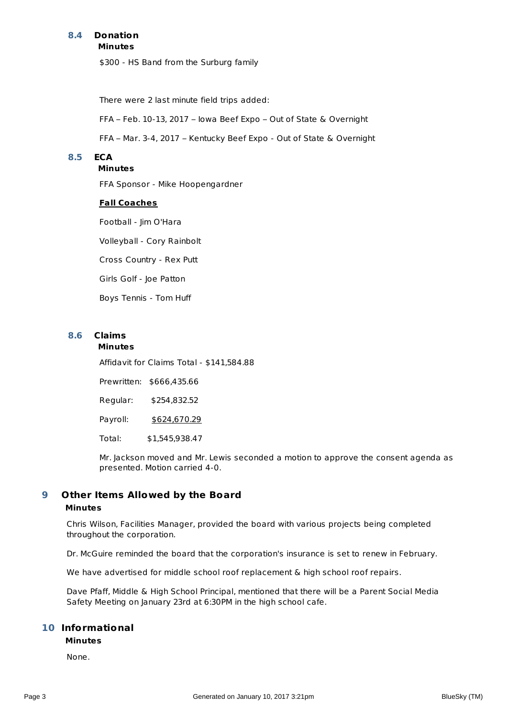### **Minutes 8.4 Donation**

\$300 - HS Band from the Surburg family

There were 2 last minute field trips added:

FFA – Feb. 10-13, 2017 – Iowa Beef Expo – Out of State & Overnight

FFA – Mar. 3-4, 2017 – Kentucky Beef Expo - Out of State & Overnight

## **8.5 ECA**

## **Minutes**

FFA Sponsor - Mike Hoopengardner

### **Fall Coaches**

Football - Jim O'Hara

Volleyball - Cory Rainbolt

Cross Country - Rex Putt

Girls Golf - Joe Patton

Boys Tennis - Tom Huff

## **8.6 Claims**

### **Minutes**

Affidavit for Claims Total - \$141,584.88

Prewritten: \$666,435.66

Regular: \$254,832.52

Payroll: \$624,670.29

Total: \$1,545,938.47

Mr. Jackson moved and Mr. Lewis seconded a motion to approve the consent agenda as presented. Motion carried 4-0.

### **Other Items Allowed by the Board 9**

## **Minutes**

Chris Wilson, Facilities Manager, provided the board with various projects being completed throughout the corporation.

Dr. McGuire reminded the board that the corporation's insurance is set to renew in February.

We have advertised for middle school roof replacement & high school roof repairs.

Dave Pfaff, Middle & High School Principal, mentioned that there will be a Parent Social Media Safety Meeting on January 23rd at 6:30PM in the high school cafe.

## **Informational 10**

### **Minutes**

None.